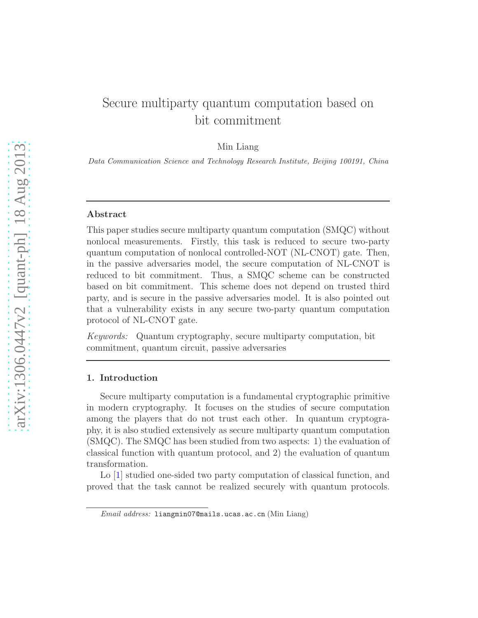# Secure multiparty quantum computation based on bit commitment

Min Liang

Data Communication Science and Technology Research Institute, Beijing 100191, China

#### Abstract

This paper studies secure multiparty quantum computation (SMQC) without nonlocal measurements. Firstly, this task is reduced to secure two-party quantum computation of nonlocal controlled-NOT (NL-CNOT) gate. Then, in the passive adversaries model, the secure computation of NL-CNOT is reduced to bit commitment. Thus, a SMQC scheme can be constructed based on bit commitment. This scheme does not depend on trusted third party, and is secure in the passive adversaries model. It is also pointed out that a vulnerability exists in any secure two-party quantum computation protocol of NL-CNOT gate.

Keywords: Quantum cryptography, secure multiparty computation, bit commitment, quantum circuit, passive adversaries

# 1. Introduction

Secure multiparty computation is a fundamental cryptographic primitive in modern cryptography. It focuses on the studies of secure computation among the players that do not trust each other. In quantum cryptography, it is also studied extensively as secure multiparty quantum computation (SMQC). The SMQC has been studied from two aspects: 1) the evaluation of classical function with quantum protocol, and 2) the evaluation of quantum transformation.

Lo [1] studied one-sided two party computation of classical function, and proved that the task cannot be realized securely with quantum protocols.

Email address: liangmin07@mails.ucas.ac.cn (Min Liang)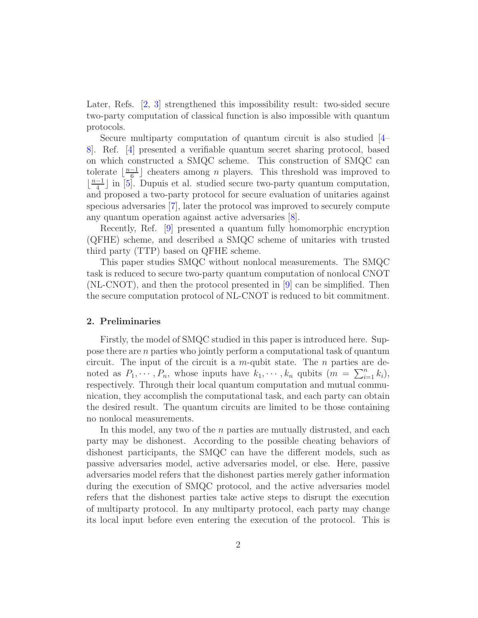Later, Refs. [2, 3] strengthened this impossibility result: two-sided secure two-party computation of classical function is also impossible with quantum protocols.

Secure multiparty computation of quantum circuit is also studied [4– 8]. Ref. [4] presented a verifiable quantum secret sharing protocol, based on which constructed a SMQC scheme. This construction of SMQC can tolerate  $\lfloor \frac{n-1}{6} \rfloor$  cheaters among *n* players. This threshold was improved to  $\lfloor \frac{n-1}{4} \rfloor$  in [5]. Dupuis et al. studied secure two-party quantum computation, and proposed a two-party protocol for secure evaluation of unitaries against specious adversaries [7], later the protocol was improved to securely compute any quantum operation against active adversaries [8].

Recently, Ref. [9] presented a quantum fully homomorphic encryption (QFHE) scheme, and described a SMQC scheme of unitaries with trusted third party (TTP) based on QFHE scheme.

This paper studies SMQC without nonlocal measurements. The SMQC task is reduced to secure two-party quantum computation of nonlocal CNOT (NL-CNOT), and then the protocol presented in [9] can be simplified. Then the secure computation protocol of NL-CNOT is reduced to bit commitment.

## 2. Preliminaries

Firstly, the model of SMQC studied in this paper is introduced here. Suppose there are n parties who jointly perform a computational task of quantum circuit. The input of the circuit is a m-qubit state. The  $n$  parties are denoted as  $P_1, \dots, P_n$ , whose inputs have  $k_1, \dots, k_n$  qubits  $(m = \sum_{i=1}^n k_i)$ , respectively. Through their local quantum computation and mutual communication, they accomplish the computational task, and each party can obtain the desired result. The quantum circuits are limited to be those containing no nonlocal measurements.

In this model, any two of the  $n$  parties are mutually distrusted, and each party may be dishonest. According to the possible cheating behaviors of dishonest participants, the SMQC can have the different models, such as passive adversaries model, active adversaries model, or else. Here, passive adversaries model refers that the dishonest parties merely gather information during the execution of SMQC protocol, and the active adversaries model refers that the dishonest parties take active steps to disrupt the execution of multiparty protocol. In any multiparty protocol, each party may change its local input before even entering the execution of the protocol. This is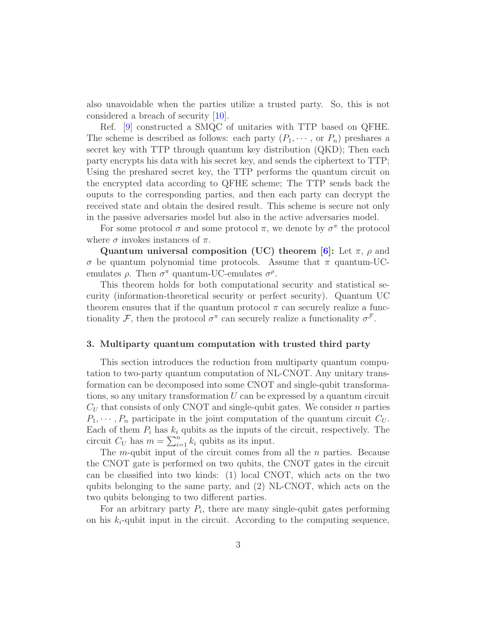also unavoidable when the parties utilize a trusted party. So, this is not considered a breach of security [10].

Ref. [9] constructed a SMQC of unitaries with TTP based on QFHE. The scheme is described as follows: each party  $(P_1, \dots,$  or  $P_n)$  preshares a secret key with TTP through quantum key distribution (QKD); Then each party encrypts his data with his secret key, and sends the ciphertext to TTP; Using the preshared secret key, the TTP performs the quantum circuit on the encrypted data according to QFHE scheme; The TTP sends back the ouputs to the corresponding parties, and then each party can decrypt the received state and obtain the desired result. This scheme is secure not only in the passive adversaries model but also in the active adversaries model.

For some protocol  $\sigma$  and some protocol  $\pi$ , we denote by  $\sigma^{\pi}$  the protocol where  $\sigma$  invokes instances of  $\pi$ .

Quantum universal composition (UC) theorem [6]: Let  $\pi$ ,  $\rho$  and  $\sigma$  be quantum polynomial time protocols. Assume that  $\pi$  quantum-UCemulates  $\rho$ . Then  $\sigma^{\pi}$  quantum-UC-emulates  $\sigma^{\rho}$ .

This theorem holds for both computational security and statistical security (information-theoretical security or perfect security). Quantum UC theorem ensures that if the quantum protocol  $\pi$  can securely realize a functionality  $\mathcal{F}$ , then the protocol  $\sigma^{\pi}$  can securely realize a functionality  $\sigma^{\mathcal{F}}$ .

## 3. Multiparty quantum computation with trusted third party

This section introduces the reduction from multiparty quantum computation to two-party quantum computation of NL-CNOT. Any unitary transformation can be decomposed into some CNOT and single-qubit transformations, so any unitary transformation  $U$  can be expressed by a quantum circuit  $C_U$  that consists of only CNOT and single-qubit gates. We consider n parties  $P_1, \dots, P_n$  participate in the joint computation of the quantum circuit  $C_U$ . Each of them  $P_i$  has  $k_i$  qubits as the inputs of the circuit, respectively. The circuit  $C_U$  has  $m = \sum_{i=1}^n k_i$  qubits as its input.

The m-qubit input of the circuit comes from all the  $n$  parties. Because the CNOT gate is performed on two qubits, the CNOT gates in the circuit can be classified into two kinds: (1) local CNOT, which acts on the two qubits belonging to the same party, and (2) NL-CNOT, which acts on the two qubits belonging to two different parties.

For an arbitrary party  $P_i$ , there are many single-qubit gates performing on his  $k_i$ -qubit input in the circuit. According to the computing sequence,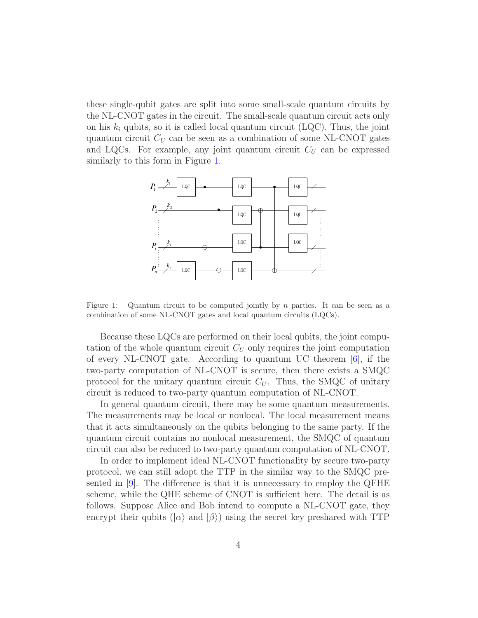these single-qubit gates are split into some small-scale quantum circuits by the NL-CNOT gates in the circuit. The small-scale quantum circuit acts only on his  $k_i$  qubits, so it is called local quantum circuit (LQC). Thus, the joint quantum circuit  $C_U$  can be seen as a combination of some NL-CNOT gates and LQCs. For example, any joint quantum circuit  $C_U$  can be expressed similarly to this form in Figure 1.



Figure 1: Quantum circuit to be computed jointly by n parties. It can be seen as a combination of some NL-CNOT gates and local quantum circuits (LQCs).

Because these LQCs are performed on their local qubits, the joint computation of the whole quantum circuit  $C_U$  only requires the joint computation of every NL-CNOT gate. According to quantum UC theorem [6], if the two-party computation of NL-CNOT is secure, then there exists a SMQC protocol for the unitary quantum circuit  $C_U$ . Thus, the SMQC of unitary circuit is reduced to two-party quantum computation of NL-CNOT.

In general quantum circuit, there may be some quantum measurements. The measurements may be local or nonlocal. The local measurement means that it acts simultaneously on the qubits belonging to the same party. If the quantum circuit contains no nonlocal measurement, the SMQC of quantum circuit can also be reduced to two-party quantum computation of NL-CNOT.

In order to implement ideal NL-CNOT functionality by secure two-party protocol, we can still adopt the TTP in the similar way to the SMQC presented in [9]. The difference is that it is unnecessary to employ the QFHE scheme, while the QHE scheme of CNOT is sufficient here. The detail is as follows. Suppose Alice and Bob intend to compute a NL-CNOT gate, they encrypt their qubits ( $|\alpha\rangle$  and  $|\beta\rangle$ ) using the secret key preshared with TTP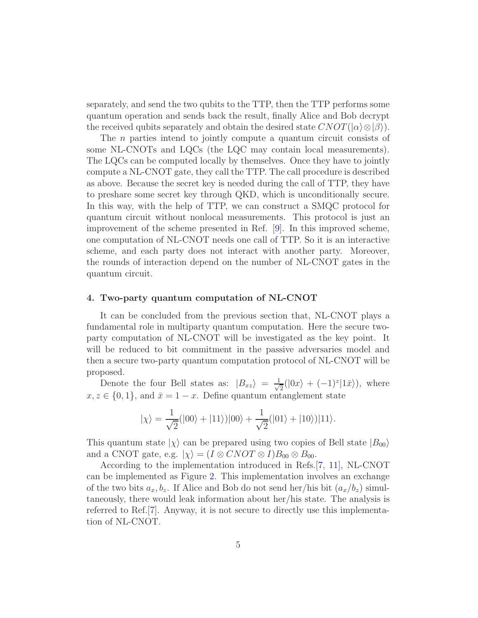separately, and send the two qubits to the TTP, then the TTP performs some quantum operation and sends back the result, finally Alice and Bob decrypt the received qubits separately and obtain the desired state  $CNOT(|\alpha\rangle \otimes |\beta\rangle)$ .

The *n* parties intend to jointly compute a quantum circuit consists of some NL-CNOTs and LQCs (the LQC may contain local measurements). The LQCs can be computed locally by themselves. Once they have to jointly compute a NL-CNOT gate, they call the TTP. The call procedure is described as above. Because the secret key is needed during the call of TTP, they have to preshare some secret key through QKD, which is unconditionally secure. In this way, with the help of TTP, we can construct a SMQC protocol for quantum circuit without nonlocal measurements. This protocol is just an improvement of the scheme presented in Ref. [9]. In this improved scheme, one computation of NL-CNOT needs one call of TTP. So it is an interactive scheme, and each party does not interact with another party. Moreover, the rounds of interaction depend on the number of NL-CNOT gates in the quantum circuit.

# 4. Two-party quantum computation of NL-CNOT

It can be concluded from the previous section that, NL-CNOT plays a fundamental role in multiparty quantum computation. Here the secure twoparty computation of NL-CNOT will be investigated as the key point. It will be reduced to bit commitment in the passive adversaries model and then a secure two-party quantum computation protocol of NL-CNOT will be proposed.

Denote the four Bell states as:  $|B_{xz}\rangle = \frac{1}{\sqrt{2}}$  $\frac{1}{2}(|0x\rangle + (-1)^{z}|1\bar{x}\rangle), \text{ where}$  $x, z \in \{0, 1\}$ , and  $\bar{x} = 1 - x$ . Define quantum entanglement state

$$
|\chi\rangle = \frac{1}{\sqrt{2}}(|00\rangle + |11\rangle)|00\rangle + \frac{1}{\sqrt{2}}(|01\rangle + |10\rangle)|11\rangle.
$$

This quantum state  $|\chi\rangle$  can be prepared using two copies of Bell state  $|B_{00}\rangle$ and a CNOT gate, e.g.  $|\chi\rangle = (I \otimes CNOT \otimes I)B_{00} \otimes B_{00}$ .

According to the implementation introduced in Refs.[7, 11], NL-CNOT can be implemented as Figure 2. This implementation involves an exchange of the two bits  $a_x, b_z$ . If Alice and Bob do not send her/his bit  $(a_x/b_z)$  simultaneously, there would leak information about her/his state. The analysis is referred to Ref.[7]. Anyway, it is not secure to directly use this implementation of NL-CNOT.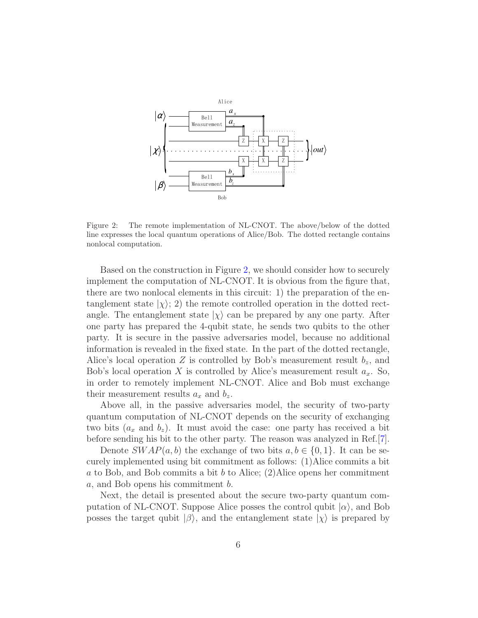

Figure 2: The remote implementation of NL-CNOT. The above/below of the dotted line expresses the local quantum operations of Alice/Bob. The dotted rectangle contains nonlocal computation.

Based on the construction in Figure 2, we should consider how to securely implement the computation of NL-CNOT. It is obvious from the figure that, there are two nonlocal elements in this circuit: 1) the preparation of the entanglement state  $|\chi\rangle$ ; 2) the remote controlled operation in the dotted rectangle. The entanglement state  $|\chi\rangle$  can be prepared by any one party. After one party has prepared the 4-qubit state, he sends two qubits to the other party. It is secure in the passive adversaries model, because no additional information is revealed in the fixed state. In the part of the dotted rectangle, Alice's local operation Z is controlled by Bob's measurement result  $b_z$ , and Bob's local operation X is controlled by Alice's measurement result  $a_x$ . So, in order to remotely implement NL-CNOT. Alice and Bob must exchange their measurement results  $a_x$  and  $b_z$ .

Above all, in the passive adversaries model, the security of two-party quantum computation of NL-CNOT depends on the security of exchanging two bits  $(a_x \text{ and } b_z)$ . It must avoid the case: one party has received a bit before sending his bit to the other party. The reason was analyzed in Ref.[7].

Denote  $SWAP(a, b)$  the exchange of two bits  $a, b \in \{0, 1\}$ . It can be securely implemented using bit commitment as follows: (1)Alice commits a bit a to Bob, and Bob commits a bit b to Alice;  $(2)$ Alice opens her commitment a, and Bob opens his commitment b.

Next, the detail is presented about the secure two-party quantum computation of NL-CNOT. Suppose Alice posses the control qubit  $|\alpha\rangle$ , and Bob posses the target qubit  $|\beta\rangle$ , and the entanglement state  $|\chi\rangle$  is prepared by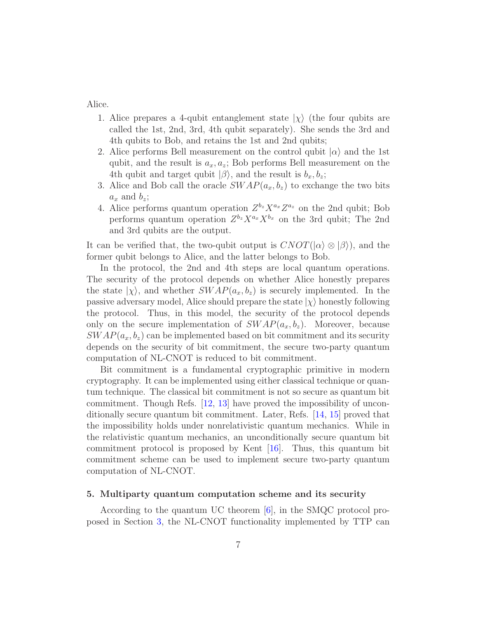Alice.

- 1. Alice prepares a 4-qubit entanglement state  $|\chi\rangle$  (the four qubits are called the 1st, 2nd, 3rd, 4th qubit separately). She sends the 3rd and 4th qubits to Bob, and retains the 1st and 2nd qubits;
- 2. Alice performs Bell measurement on the control qubit  $|\alpha\rangle$  and the 1st qubit, and the result is  $a_x, a_z$ ; Bob performs Bell measurement on the 4th qubit and target qubit  $|\beta\rangle$ , and the result is  $b_x, b_z$ ;
- 3. Alice and Bob call the oracle  $SWAP(a_x, b_z)$  to exchange the two bits  $a_x$  and  $b_z$ ;
- 4. Alice performs quantum operation  $Z^{b_z} X^{a_x} Z^{a_z}$  on the 2nd qubit; Bob performs quantum operation  $Z^{b_z} X^{a_x} X^{b_x}$  on the 3rd qubit; The 2nd and 3rd qubits are the output.

It can be verified that, the two-qubit output is  $CNOT(|\alpha\rangle \otimes |\beta\rangle)$ , and the former qubit belongs to Alice, and the latter belongs to Bob.

In the protocol, the 2nd and 4th steps are local quantum operations. The security of the protocol depends on whether Alice honestly prepares the state  $|\chi\rangle$ , and whether  $SWAP(a_x, b_z)$  is securely implemented. In the passive adversary model, Alice should prepare the state  $|\chi\rangle$  honestly following the protocol. Thus, in this model, the security of the protocol depends only on the secure implementation of  $SWAP(a_x, b_z)$ . Moreover, because  $SWAP(a_x, b_z)$  can be implemented based on bit commitment and its security depends on the security of bit commitment, the secure two-party quantum computation of NL-CNOT is reduced to bit commitment.

Bit commitment is a fundamental cryptographic primitive in modern cryptography. It can be implemented using either classical technique or quantum technique. The classical bit commitment is not so secure as quantum bit commitment. Though Refs. [12, 13] have proved the impossibility of unconditionally secure quantum bit commitment. Later, Refs. [14, 15] proved that the impossibility holds under nonrelativistic quantum mechanics. While in the relativistic quantum mechanics, an unconditionally secure quantum bit commitment protocol is proposed by Kent  $|16|$ . Thus, this quantum bit commitment scheme can be used to implement secure two-party quantum computation of NL-CNOT.

# 5. Multiparty quantum computation scheme and its security

According to the quantum UC theorem [6], in the SMQC protocol proposed in Section 3, the NL-CNOT functionality implemented by TTP can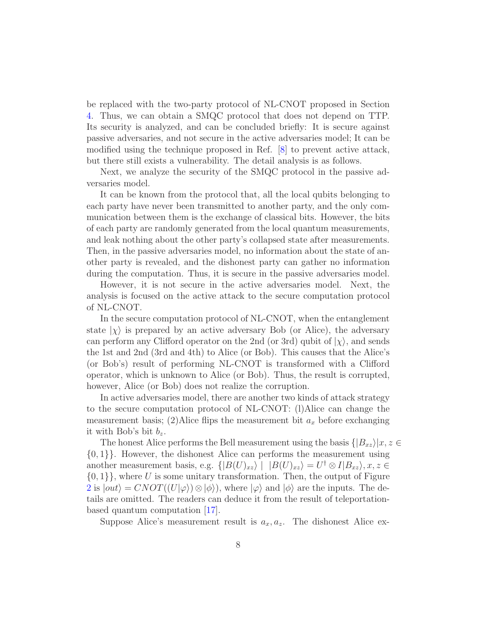be replaced with the two-party protocol of NL-CNOT proposed in Section 4. Thus, we can obtain a SMQC protocol that does not depend on TTP. Its security is analyzed, and can be concluded briefly: It is secure against passive adversaries, and not secure in the active adversaries model; It can be modified using the technique proposed in Ref. [8] to prevent active attack, but there still exists a vulnerability. The detail analysis is as follows.

Next, we analyze the security of the SMQC protocol in the passive adversaries model.

It can be known from the protocol that, all the local qubits belonging to each party have never been transmitted to another party, and the only communication between them is the exchange of classical bits. However, the bits of each party are randomly generated from the local quantum measurements, and leak nothing about the other party's collapsed state after measurements. Then, in the passive adversaries model, no information about the state of another party is revealed, and the dishonest party can gather no information during the computation. Thus, it is secure in the passive adversaries model.

However, it is not secure in the active adversaries model. Next, the analysis is focused on the active attack to the secure computation protocol of NL-CNOT.

In the secure computation protocol of NL-CNOT, when the entanglement state  $|\chi\rangle$  is prepared by an active adversary Bob (or Alice), the adversary can perform any Clifford operator on the 2nd (or 3rd) qubit of  $|\chi\rangle$ , and sends the 1st and 2nd (3rd and 4th) to Alice (or Bob). This causes that the Alice's (or Bob's) result of performing NL-CNOT is transformed with a Clifford operator, which is unknown to Alice (or Bob). Thus, the result is corrupted, however, Alice (or Bob) does not realize the corruption.

In active adversaries model, there are another two kinds of attack strategy to the secure computation protocol of NL-CNOT: (l)Alice can change the measurement basis; (2)Alice flips the measurement bit  $a_x$  before exchanging it with Bob's bit  $b_z$ .

The honest Alice performs the Bell measurement using the basis  $\{|B_{xz}\rangle|x, z \in$  $\{0,1\}$ . However, the dishonest Alice can performs the measurement using another measurement basis, e.g.  $\{|B(U)_{xz}\rangle | |B(U)_{xz}\rangle = U^{\dagger} \otimes I |B_{xz}\rangle, x, z \in$  $\{0,1\}\}\,$ , where U is some unitary transformation. Then, the output of Figure 2 is  $|out\rangle = CNOT((U|\varphi\rangle) \otimes |\phi\rangle)$ , where  $|\varphi\rangle$  and  $|\phi\rangle$  are the inputs. The details are omitted. The readers can deduce it from the result of teleportationbased quantum computation [17].

Suppose Alice's measurement result is  $a_x, a_z$ . The dishonest Alice ex-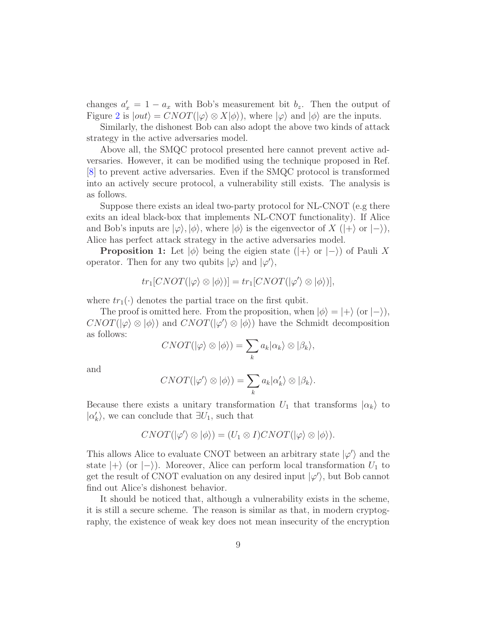changes  $a'_x = 1 - a_x$  with Bob's measurement bit  $b_z$ . Then the output of Figure 2 is  $|out\rangle = CNOT(|\varphi\rangle \otimes X|\phi\rangle)$ , where  $|\varphi\rangle$  and  $|\phi\rangle$  are the inputs.

Similarly, the dishonest Bob can also adopt the above two kinds of attack strategy in the active adversaries model.

Above all, the SMQC protocol presented here cannot prevent active adversaries. However, it can be modified using the technique proposed in Ref. [8] to prevent active adversaries. Even if the SMQC protocol is transformed into an actively secure protocol, a vulnerability still exists. The analysis is as follows.

Suppose there exists an ideal two-party protocol for NL-CNOT (e.g there exits an ideal black-box that implements NL-CNOT functionality). If Alice and Bob's inputs are  $|\varphi\rangle, |\phi\rangle$ , where  $|\phi\rangle$  is the eigenvector of X ( $|+\rangle$  or  $|-\rangle$ ), Alice has perfect attack strategy in the active adversaries model.

**Proposition 1:** Let  $|\phi\rangle$  being the eigien state  $(|+\rangle$  or  $|-\rangle$ ) of Pauli X operator. Then for any two qubits  $|\varphi\rangle$  and  $|\varphi'\rangle$ ,

$$
tr_1[CNOT(|\varphi\rangle \otimes |\phi\rangle)] = tr_1[CNOT(|\varphi'\rangle \otimes |\phi\rangle)],
$$

where  $tr_1(\cdot)$  denotes the partial trace on the first qubit.

The proof is omitted here. From the proposition, when  $|\phi\rangle = |+\rangle$  (or  $|-\rangle$ ),  $CNOT(\ket{\varphi} \otimes \ket{\phi})$  and  $CNOT(\ket{\varphi'} \otimes \ket{\phi})$  have the Schmidt decomposition as follows:

$$
CNOT(|\varphi\rangle \otimes |\phi\rangle) = \sum_{k} a_k |\alpha_k\rangle \otimes |\beta_k\rangle,
$$

and

$$
CNOT(|\varphi'\rangle \otimes |\phi\rangle) = \sum_{k} a_k |\alpha'_{k}\rangle \otimes |\beta_{k}\rangle.
$$

Because there exists a unitary transformation  $U_1$  that transforms  $|\alpha_k\rangle$  to  $|\alpha'_k\rangle$ , we can conclude that  $\exists U_1$ , such that

$$
CNOT(|\varphi'\rangle \otimes |\phi\rangle) = (U_1 \otimes I) CNOT(|\varphi\rangle \otimes |\phi\rangle).
$$

This allows Alice to evaluate CNOT between an arbitrary state  $|\varphi'\rangle$  and the state  $|+\rangle$  (or  $|-\rangle$ ). Moreover, Alice can perform local transformation  $U_1$  to get the result of CNOT evaluation on any desired input  $|\varphi'\rangle$ , but Bob cannot find out Alice's dishonest behavior.

It should be noticed that, although a vulnerability exists in the scheme, it is still a secure scheme. The reason is similar as that, in modern cryptography, the existence of weak key does not mean insecurity of the encryption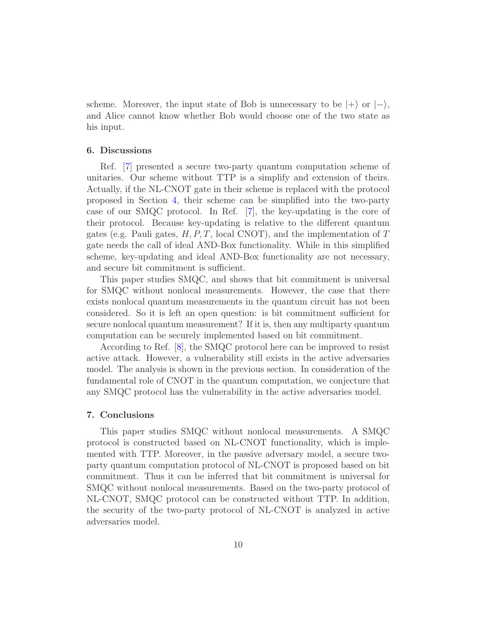scheme. Moreover, the input state of Bob is unnecessary to be  $|+\rangle$  or  $|-\rangle$ , and Alice cannot know whether Bob would choose one of the two state as his input.

# 6. Discussions

Ref. [7] presented a secure two-party quantum computation scheme of unitaries. Our scheme without TTP is a simplify and extension of theirs. Actually, if the NL-CNOT gate in their scheme is replaced with the protocol proposed in Section 4, their scheme can be simplified into the two-party case of our SMQC protocol. In Ref. [7], the key-updating is the core of their protocol. Because key-updating is relative to the different quantum gates (e.g. Pauli gates,  $H, P, T$ , local CNOT), and the implementation of T gate needs the call of ideal AND-Box functionality. While in this simplified scheme, key-updating and ideal AND-Box functionality are not necessary, and secure bit commitment is sufficient.

This paper studies SMQC, and shows that bit commitment is universal for SMQC without nonlocal measurements. However, the case that there exists nonlocal quantum measurements in the quantum circuit has not been considered. So it is left an open question: is bit commitment sufficient for secure nonlocal quantum measurement? If it is, then any multiparty quantum computation can be securely implemented based on bit commitment.

According to Ref. [8], the SMQC protocol here can be improved to resist active attack. However, a vulnerability still exists in the active adversaries model. The analysis is shown in the previous section. In consideration of the fundamental role of CNOT in the quantum computation, we conjecture that any SMQC protocol has the vulnerability in the active adversaries model.

## 7. Conclusions

This paper studies SMQC without nonlocal measurements. A SMQC protocol is constructed based on NL-CNOT functionality, which is implemented with TTP. Moreover, in the passive adversary model, a secure twoparty quantum computation protocol of NL-CNOT is proposed based on bit commitment. Thus it can be inferred that bit commitment is universal for SMQC without nonlocal measurements. Based on the two-party protocol of NL-CNOT, SMQC protocol can be constructed without TTP. In addition, the security of the two-party protocol of NL-CNOT is analyzed in active adversaries model.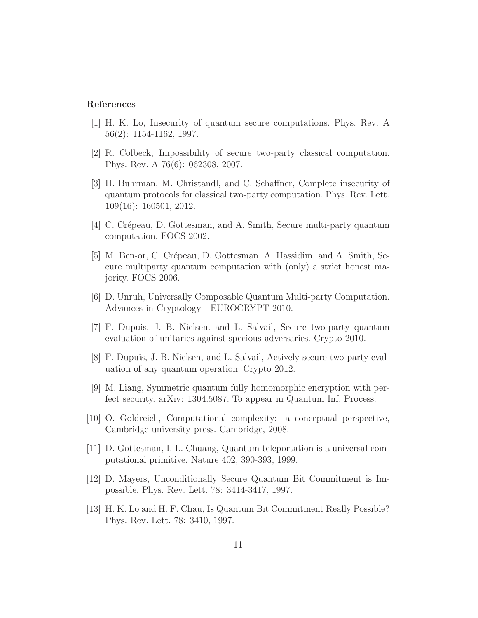# References

- [1] H. K. Lo, Insecurity of quantum secure computations. Phys. Rev. A 56(2): 1154-1162, 1997.
- [2] R. Colbeck, Impossibility of secure two-party classical computation. Phys. Rev. A 76(6): 062308, 2007.
- [3] H. Buhrman, M. Christandl, and C. Schaffner, Complete insecurity of quantum protocols for classical two-party computation. Phys. Rev. Lett. 109(16): 160501, 2012.
- [4] C. Crépeau, D. Gottesman, and A. Smith, Secure multi-party quantum computation. FOCS 2002.
- [5] M. Ben-or, C. Crépeau, D. Gottesman, A. Hassidim, and A. Smith, Secure multiparty quantum computation with (only) a strict honest majority. FOCS 2006.
- [6] D. Unruh, Universally Composable Quantum Multi-party Computation. Advances in Cryptology - EUROCRYPT 2010.
- [7] F. Dupuis, J. B. Nielsen. and L. Salvail, Secure two-party quantum evaluation of unitaries against specious adversaries. Crypto 2010.
- [8] F. Dupuis, J. B. Nielsen, and L. Salvail, Actively secure two-party evaluation of any quantum operation. Crypto 2012.
- [9] M. Liang, Symmetric quantum fully homomorphic encryption with perfect security. arXiv: 1304.5087. To appear in Quantum Inf. Process.
- [10] O. Goldreich, Computational complexity: a conceptual perspective, Cambridge university press. Cambridge, 2008.
- [11] D. Gottesman, I. L. Chuang, Quantum teleportation is a universal computational primitive. Nature 402, 390-393, 1999.
- [12] D. Mayers, Unconditionally Secure Quantum Bit Commitment is Impossible. Phys. Rev. Lett. 78: 3414-3417, 1997.
- [13] H. K. Lo and H. F. Chau, Is Quantum Bit Commitment Really Possible? Phys. Rev. Lett. 78: 3410, 1997.